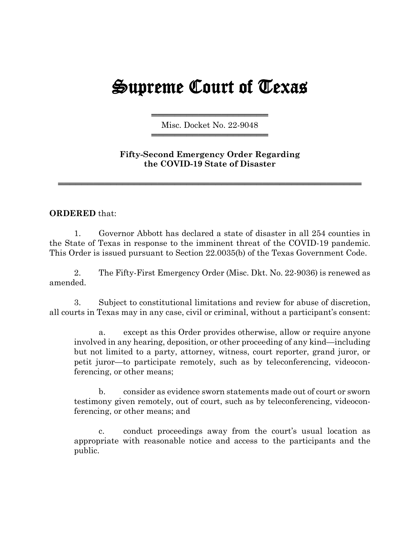## Supreme Court of Texas

══════════════════════════════════════ Misc. Docket No. 22-9048 ══════════════════════════════════════

## **Fifty-Second Emergency Order Regarding the COVID-19 State of Disaster**

════════════════════════════════════════════════════

## **ORDERED** that:

1. Governor Abbott has declared a state of disaster in all 254 counties in the State of Texas in response to the imminent threat of the COVID-19 pandemic. This Order is issued pursuant to Section 22.0035(b) of the Texas Government Code.

2. The Fifty-First Emergency Order (Misc. Dkt. No. 22-9036) is renewed as amended.

3. Subject to constitutional limitations and review for abuse of discretion, all courts in Texas may in any case, civil or criminal, without a participant's consent:

a. except as this Order provides otherwise, allow or require anyone involved in any hearing, deposition, or other proceeding of any kind—including but not limited to a party, attorney, witness, court reporter, grand juror, or petit juror—to participate remotely, such as by teleconferencing, videoconferencing, or other means;

b. consider as evidence sworn statements made out of court or sworn testimony given remotely, out of court, such as by teleconferencing, videoconferencing, or other means; and

c. conduct proceedings away from the court's usual location as appropriate with reasonable notice and access to the participants and the public.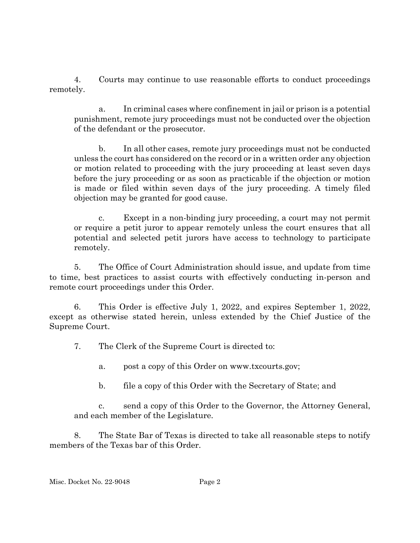4. Courts may continue to use reasonable efforts to conduct proceedings remotely.

a. In criminal cases where confinement in jail or prison is a potential punishment, remote jury proceedings must not be conducted over the objection of the defendant or the prosecutor.

b. In all other cases, remote jury proceedings must not be conducted unless the court has considered on the record or in a written order any objection or motion related to proceeding with the jury proceeding at least seven days before the jury proceeding or as soon as practicable if the objection or motion is made or filed within seven days of the jury proceeding. A timely filed objection may be granted for good cause.

c. Except in a non-binding jury proceeding, a court may not permit or require a petit juror to appear remotely unless the court ensures that all potential and selected petit jurors have access to technology to participate remotely.

5. The Office of Court Administration should issue, and update from time to time, best practices to assist courts with effectively conducting in-person and remote court proceedings under this Order.

6. This Order is effective July 1, 2022, and expires September 1, 2022, except as otherwise stated herein, unless extended by the Chief Justice of the Supreme Court.

7. The Clerk of the Supreme Court is directed to:

a. post a copy of this Order on www.txcourts.gov;

b. file a copy of this Order with the Secretary of State; and

c. send a copy of this Order to the Governor, the Attorney General, and each member of the Legislature.

8. The State Bar of Texas is directed to take all reasonable steps to notify members of the Texas bar of this Order.